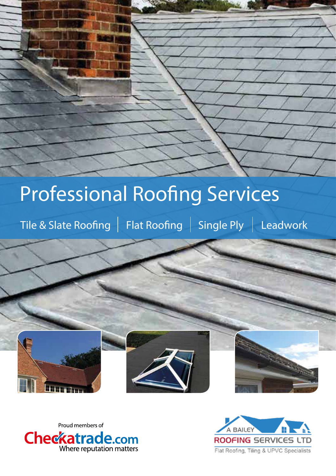# Professional Roofing Services

Tile & Slate Roofing  $\parallel$  Flat Roofing  $\parallel$  Single Ply  $\parallel$  Leadwork





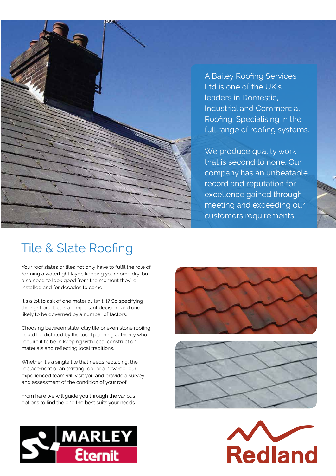

A Bailey Roofing Services Ltd is one of the UK's leaders in Domestic, Industrial and Commercial Roofing. Specialising in the full range of roofing systems.

We produce quality work that is second to none. Our company has an unbeatable record and reputation for excellence gained through meeting and exceeding our customers requirements.

## Tile & Slate Roofing

Your roof slates or tiles not only have to fulfil the role of forming a watertight layer, keeping your home dry, but also need to look good from the moment they're installed and for decades to come.

It's a lot to ask of one material, isn't it? So specifying the right product is an important decision, and one likely to be governed by a number of factors.

Choosing between slate, clay tile or even stone roofing could be dictated by the local planning authority who require it to be in keeping with local construction materials and reflecting local traditions.

Whether it's a single tile that needs replacing, the replacement of an existing roof or a new roof our experienced team will visit you and provide a survey and assessment of the condition of your roof.

From here we will guide you through the various options to find the one the best suits your needs.







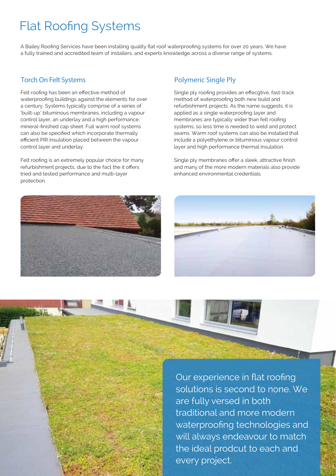# Flat Roofing Systems

A Bailey Roofing Services have been installing quality flat roof waterproofing systems for over 20 years. We have a fully trained and accredited team of installers, and experts knowledge across a diverse range of systems.

#### Torch On Felt Systems

Felt roofing has been an effective method of waterproofing buildings against the elements for over a century. Systems typically comprise of a series of 'built-up' bituminous membranes, including a vapour control layer, an underlay and a high performance, mineral-finished cap sheet. Full warm roof systems can also be specified which incorporate thermally efficient PIR insulation placed between the vapour control layer and underlay.

Felt roofing is an extremely popular choice for many refurbishment projects, due to the fact the it offers tried and tested performance and multi-layer protection.

#### Polymeric Single Ply

Single ply roofing provides an effecgtive, fast-track method of waterproofing both new build and refurbishment projects. As the name suggests, it is applied as a single waterproofing layer and membranes are typically wider than felt roofing systems, so less time is needed to weld and protect seams. Warm roof systems can also be installed that include a polyethylene or bituminous vapour control layer and high performance thermal insulation.

Single ply membranes offer a sleek, attractive finish and many of the more modern materials also provide enhanced environmental credentials.





Our experience in flat roofing solutions is second to none. We are fully versed in both traditional and more modern waterproofing technologies and will always endeavour to match the ideal prodcut to each and every project.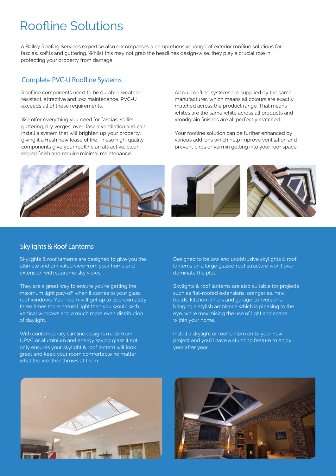## Roofline Solutions

A Bailey Roofing Services expertise also encompasses a comprehensive range of exterior roofline solutions for fascias, soffits and guttering. Whilst this may not grab the headlines design-wise, they play a crucial role in protecting your property from damage.

#### Complete PVC-U Roofline Systems

Roofline components need to be durable, weather resistant, attractive and low maintenance, PVC-U exceeds all of these requirements.

We offer everything you need for fascias, soffits, guttering, dry verges, over-fascia ventilation and can install a system that will brighten up your property, giving it a fresh new lease of life. These high-quality components give your roofline an attractive, cleanedged finish and require minimal maintenance.

All our roofline systems are supplied by the same manufacturer, which means all colours are exactly matched across the product range. That means whites are the same white across all products and woodgrain finishes are all perfectly matched.

Your roofline solution can be further enhanced by various add-ons which help improve ventilation and prevent birds or vermin getting into your roof space.



#### Skylights & Roof Lanterns

Skylights & roof lanterns are designed to give you the ultimate and unrivaled view from your home and extension with supreme sky views.

They are a great way to ensure you're getting the maximum light pay-off when it comes to your glass roof windows. Your room will get up to approximately three times more natural light than you would with vertical windows and a much more even distribution of daylight.

With contemporary slimline designs made from UPVC or aluminium and energy saving glass it not only ensures your skylight & roof lantern will look great and keep your room comfortable no matter what the weather throws at them.

Designed to be low and unobtrusive skylights & roof lanterns on a large glazed roof structure won't over dominate the plot.

Skylights & roof lanterns are also suitable for projects such as flat-roofed extensions, orangeries, new builds, kitchen-diners and garage conversions bringing a stylish ambiance which is pleasing to the eye, while maximising the use of light and space within your home.

Install a skylight or roof lantern on to your new project and you'll have a stunning feature to enjoy year after year.